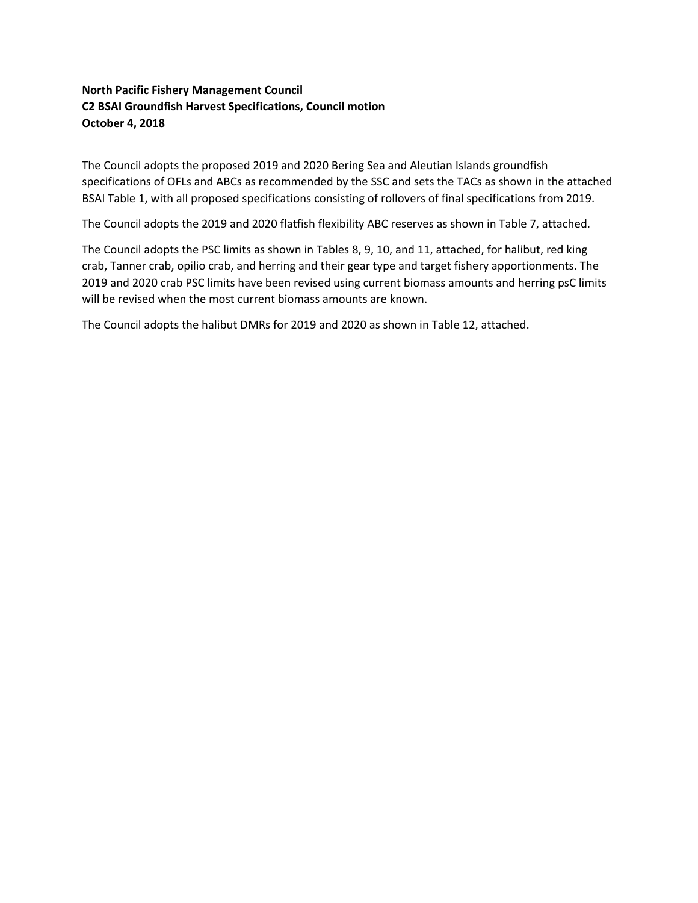# **North Pacific Fishery Management Council C2 BSAI Groundfish Harvest Specifications, Council motion October 4, 2018**

The Council adopts the proposed 2019 and 2020 Bering Sea and Aleutian Islands groundfish specifications of OFLs and ABCs as recommended by the SSC and sets the TACs as shown in the attached BSAI Table 1, with all proposed specifications consisting of rollovers of final specifications from 2019.

The Council adopts the 2019 and 2020 flatfish flexibility ABC reserves as shown in Table 7, attached.

The Council adopts the PSC limits as shown in Tables 8, 9, 10, and 11, attached, for halibut, red king crab, Tanner crab, opilio crab, and herring and their gear type and target fishery apportionments. The 2019 and 2020 crab PSC limits have been revised using current biomass amounts and herring psC limits will be revised when the most current biomass amounts are known.

The Council adopts the halibut DMRs for 2019 and 2020 as shown in Table 12, attached.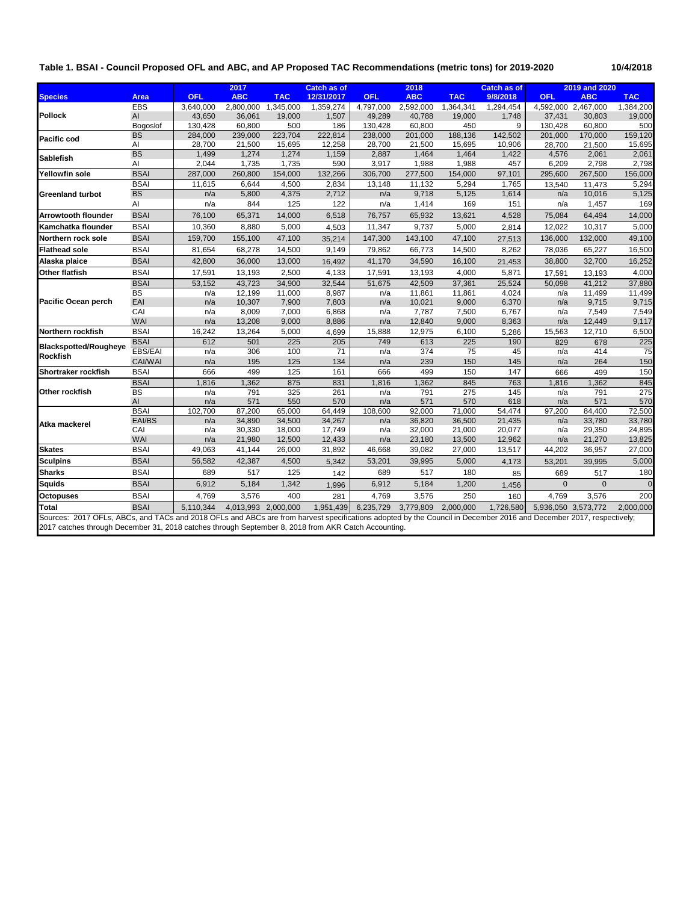#### **Table 1. BSAI - Council Proposed OFL and ABC, and AP Proposed TAC Recommendations (metric tons) for 2019-2020 10/4/2018**

|                                                                                                                                                                    |                          |            | 2017                |                  | <b>Catch as of</b> |                  | 2018             |                  | <b>Catch as of</b> |                     | 2019 and 2020       |                  |
|--------------------------------------------------------------------------------------------------------------------------------------------------------------------|--------------------------|------------|---------------------|------------------|--------------------|------------------|------------------|------------------|--------------------|---------------------|---------------------|------------------|
| <b>Species</b>                                                                                                                                                     | Area                     | <b>OFL</b> | <b>ABC</b>          | <b>TAC</b>       | 12/31/2017         | <b>OFL</b>       | <b>ABC</b>       | <b>TAC</b>       | 9/8/2018           | <b>OFL</b>          | <b>ABC</b>          | <b>TAC</b>       |
|                                                                                                                                                                    | <b>EBS</b>               | 3,640,000  | 2,800,000           | 1,345,000        | 1,359,274          | 4,797,000        | 2,592,000        | 1,364,341        | 1,294,454          |                     | 4,592,000 2,467,000 | 1,384,200        |
| <b>Pollock</b>                                                                                                                                                     | AI                       | 43,650     | 36,061              | 19,000           | 1,507              | 49,289           | 40,788           | 19,000           | 1,748              | 37,431              | 30,803              | 19,000           |
|                                                                                                                                                                    | Bogoslof                 | 130,428    | 60,800              | 500              | 186                | 130,428          | 60,800           | 450              | 9                  | 130,428             | 60,800              | 500              |
| <b>Pacific cod</b>                                                                                                                                                 | <b>BS</b>                | 284,000    | 239,000             | 223,704          | 222,814            | 238,000          | 201,000          | 188,136          | 142,502            | 201,000             | 170,000             | 159,120          |
|                                                                                                                                                                    | AI                       | 28,700     | 21,500              | 15,695           | 12,258             | 28,700           | 21,500           | 15,695           | 10,906             | 28,700              | 21,500              | 15,695           |
| <b>Sablefish</b>                                                                                                                                                   | <b>BS</b><br>AI          | 1,499      | 1,274               | 1,274            | 1,159              | 2,887            | 1,464            | 1,464            | 1,422              | 4,576               | 2,061               | 2,061            |
|                                                                                                                                                                    | <b>BSAI</b>              | 2,044      | 1,735               | 1,735<br>154,000 | 590<br>132,266     | 3,917<br>306,700 | 1,988            | 1,988            | 457<br>97,101      | 6,209<br>295,600    | 2,798<br>267,500    | 2,798<br>156,000 |
| <b>Yellowfin sole</b>                                                                                                                                              |                          | 287,000    | 260,800             |                  |                    |                  | 277,500          | 154,000          |                    |                     |                     |                  |
|                                                                                                                                                                    | <b>BSAI</b><br><b>BS</b> | 11,615     | 6,644<br>5,800      | 4,500<br>4,375   | 2,834<br>2,712     | 13,148<br>n/a    | 11,132<br>9,718  | 5,294<br>5,125   | 1,765<br>1,614     | 13,540<br>n/a       | 11,473<br>10,016    | 5,294<br>5,125   |
| <b>Greenland turbot</b>                                                                                                                                            | Al                       | n/a        | 844                 |                  |                    |                  |                  |                  |                    |                     |                     | 169              |
|                                                                                                                                                                    |                          | n/a        |                     | 125              | 122                | n/a              | 1,414            | 169              | 151                | n/a                 | 1,457               |                  |
| <b>Arrowtooth flounder</b>                                                                                                                                         | <b>BSAI</b>              | 76,100     | 65,371              | 14,000           | 6,518              | 76,757           | 65,932           | 13,621           | 4,528              | 75,084              | 64,494              | 14,000           |
| Kamchatka flounder                                                                                                                                                 | <b>BSAI</b>              | 10,360     | 8,880               | 5,000            | 4,503              | 11,347           | 9,737            | 5,000            | 2.814              | 12,022              | 10,317              | 5,000            |
| Northern rock sole                                                                                                                                                 | <b>BSAI</b>              | 159,700    | 155,100             | 47,100           | 35,214             | 147,300          | 143,100          | 47,100           | 27,513             | 136,000             | 132,000             | 49,100           |
| <b>Flathead sole</b>                                                                                                                                               | <b>BSAI</b>              | 81,654     | 68,278              | 14,500           | 9,149              | 79,862           | 66,773           | 14,500           | 8,262              | 78,036              | 65,227              | 16,500           |
| Alaska plaice                                                                                                                                                      | <b>BSAI</b>              | 42,800     | 36,000              | 13,000           | 16,492             | 41,170           | 34,590           | 16,100           | 21,453             | 38,800              | 32,700              | 16,252           |
| Other flatfish                                                                                                                                                     | <b>BSAI</b>              | 17,591     | 13,193              | 2,500            | 4,133              | 17,591           | 13,193           | 4,000            | 5,871              | 17,591              | 13,193              | 4,000            |
|                                                                                                                                                                    | <b>BSAI</b>              | 53,152     | 43,723              | 34,900           | 32,544             | 51,675           | 42,509           | 37,361           | 25,524             | 50.098              | 41.212              | 37,880           |
|                                                                                                                                                                    | BS                       | n/a        | 12,199              | 11,000           | 8,987              | n/a              | 11,861           | 11,861           | 4,024              | n/a                 | 11,499              | 11,499           |
| <b>Pacific Ocean perch</b>                                                                                                                                         | EAI                      | n/a        | 10,307              | 7,900            | 7,803              | n/a              | 10,021           | 9,000            | 6,370              | n/a                 | 9,715               | 9,715            |
|                                                                                                                                                                    | CAI                      | n/a        | 8,009               | 7,000            | 6,868              | n/a              | 7,787            | 7,500            | 6,767              | n/a                 | 7,549               | 7,549            |
|                                                                                                                                                                    | WAI                      | n/a        | 13,208              | 9,000            | 8,886              | n/a              | 12,840           | 9,000            | 8,363              | n/a                 | 12,449              | 9,117            |
| Northern rockfish                                                                                                                                                  | <b>BSAI</b>              | 16,242     | 13,264              | 5,000            | 4,699              | 15,888           | 12,975           | 6,100            | 5,286              | 15,563              | 12,710              | 6,500            |
| <b>Blackspotted/Rougheye</b>                                                                                                                                       | <b>BSAI</b>              | 612        | 501                 | 225              | 205                | 749              | 613              | 225              | 190                | 829                 | 678                 | 225              |
| <b>Rockfish</b>                                                                                                                                                    | EBS/EAI                  | n/a        | 306                 | 100              | 71                 | n/a              | 374              | 75               | 45                 | n/a                 | 414                 | 75               |
|                                                                                                                                                                    | CAI/WAI                  | n/a        | 195                 | 125              | 134                | n/a              | 239              | 150              | 145                | n/a                 | 264                 | 150              |
| Shortraker rockfish                                                                                                                                                | <b>BSAI</b>              | 666        | 499                 | 125              | 161                | 666              | 499              | 150              | 147                | 666                 | 499                 | 150              |
|                                                                                                                                                                    | <b>BSAI</b>              | 1,816      | 1,362               | 875              | 831                | 1,816            | 1,362            | 845              | 763                | 1,816               | 1,362               | 845              |
| Other rockfish                                                                                                                                                     | <b>BS</b>                | n/a        | 791                 | 325              | 261                | n/a              | 791              | 275              | 145                | n/a                 | 791                 | 275              |
|                                                                                                                                                                    | $\mathsf{Al}\xspace$     | n/a        | 571                 | 550              | 570                | n/a              | 571              | 570              | 618                | n/a                 | 571                 | 570              |
|                                                                                                                                                                    | <b>BSAI</b><br>EAI/BS    | 102.700    | 87,200<br>34,890    | 65,000           | 64,449<br>34,267   | 108,600          | 92,000           | 71,000<br>36,500 | 54,474<br>21,435   | 97,200              | 84,400<br>33,780    | 72,500<br>33,780 |
| Atka mackerel                                                                                                                                                      | CAI                      | n/a<br>n/a | 30,330              | 34,500<br>18,000 | 17,749             | n/a<br>n/a       | 36,820<br>32,000 | 21,000           | 20,077             | n/a<br>n/a          | 29,350              | 24,895           |
|                                                                                                                                                                    | WAI                      | n/a        | 21,980              | 12,500           | 12,433             | n/a              | 23,180           | 13,500           | 12,962             | n/a                 | 21,270              | 13,825           |
| <b>Skates</b>                                                                                                                                                      | <b>BSAI</b>              | 49,063     | 41,144              | 26,000           | 31,892             | 46,668           | 39,082           | 27,000           | 13,517             | 44,202              | 36,957              | 27,000           |
|                                                                                                                                                                    | <b>BSAI</b>              | 56,582     | 42,387              | 4,500            |                    | 53,201           | 39,995           | 5,000            |                    |                     |                     | 5,000            |
| <b>Sculpins</b><br><b>Sharks</b>                                                                                                                                   | <b>BSAI</b>              |            | 517                 | 125              | 5,342              | 689              | 517              | 180              | 4,173              | 53,201<br>689       | 39,995              |                  |
|                                                                                                                                                                    |                          | 689        |                     |                  | 142                |                  |                  |                  | 85                 |                     | 517                 | 180              |
| <b>Squids</b>                                                                                                                                                      | <b>BSAI</b>              | 6,912      | 5,184               | 1,342            | 1,996              | 6,912            | 5,184            | 1,200            | 1,456              | $\mathbf 0$         | $\overline{0}$      | $\Omega$         |
| <b>Octopuses</b>                                                                                                                                                   | <b>BSAI</b>              | 4,769      | 3,576               | 400              | 281                | 4,769            | 3,576            | 250              | 160                | 4,769               | 3,576               | 200              |
| Total                                                                                                                                                              | <b>BSAI</b>              | 5,110,344  | 4,013,993 2,000,000 |                  | 1,951,439          | 6,235,729        | 3,779,809        | 2,000,000        | 1,726,580          | 5,936,050 3,573,772 |                     | 2,000,000        |
| Sources: 2017 OFLs, ABCs, and TACs and 2018 OFLs and ABCs are from harvest specifications adopted by the Council in December 2016 and December 2017, respectively; |                          |            |                     |                  |                    |                  |                  |                  |                    |                     |                     |                  |
| 2017 catches through December 31, 2018 catches through September 8, 2018 from AKR Catch Accounting.                                                                |                          |            |                     |                  |                    |                  |                  |                  |                    |                     |                     |                  |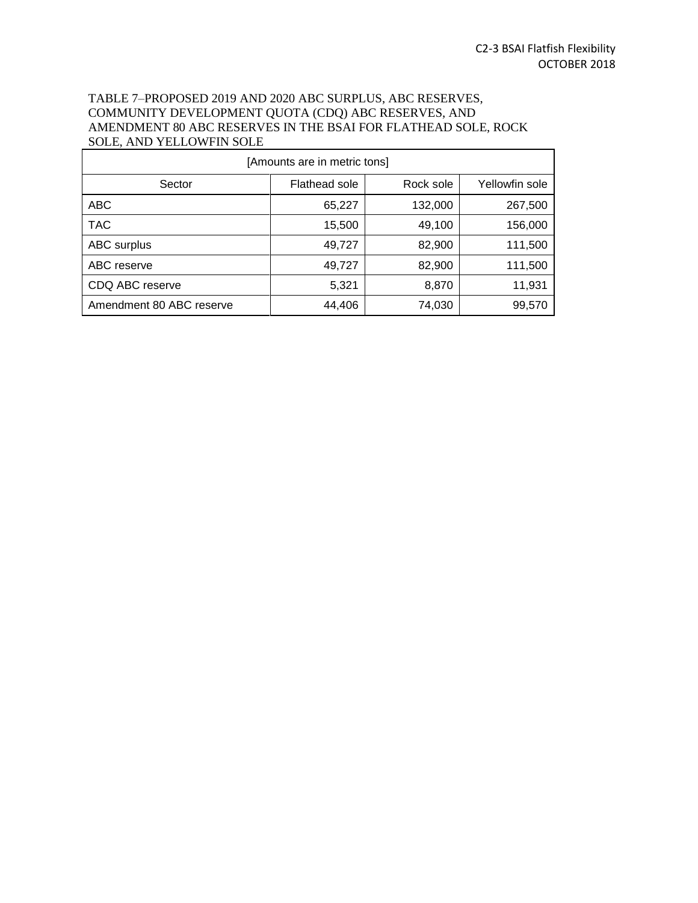## TABLE 7–PROPOSED 2019 AND 2020 ABC SURPLUS, ABC RESERVES, COMMUNITY DEVELOPMENT QUOTA (CDQ) ABC RESERVES, AND AMENDMENT 80 ABC RESERVES IN THE BSAI FOR FLATHEAD SOLE, ROCK SOLE, AND YELLOWFIN SOLE

| [Amounts are in metric tons] |               |           |                |  |  |  |
|------------------------------|---------------|-----------|----------------|--|--|--|
| Sector                       | Flathead sole | Rock sole | Yellowfin sole |  |  |  |
| <b>ABC</b>                   | 65,227        | 132,000   | 267,500        |  |  |  |
| <b>TAC</b>                   | 15,500        | 49,100    | 156,000        |  |  |  |
| ABC surplus                  | 49,727        | 82,900    | 111,500        |  |  |  |
| ABC reserve                  | 49,727        | 82,900    | 111,500        |  |  |  |
| CDQ ABC reserve              | 5,321         | 8,870     | 11,931         |  |  |  |
| Amendment 80 ABC reserve     | 44,406        | 74,030    | 99,570         |  |  |  |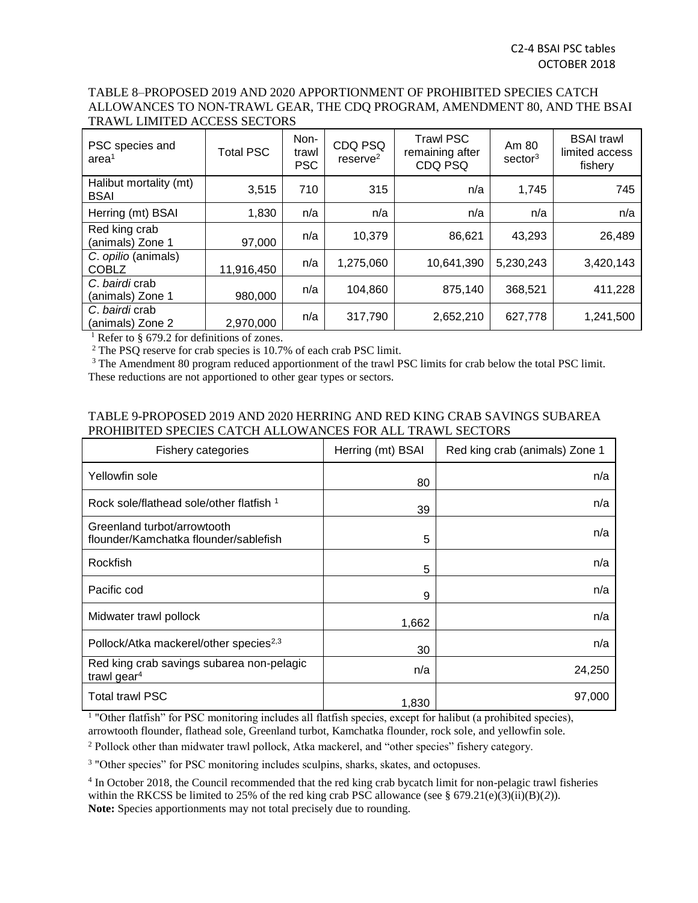### TABLE 8–PROPOSED 2019 AND 2020 APPORTIONMENT OF PROHIBITED SPECIES CATCH ALLOWANCES TO NON-TRAWL GEAR, THE CDQ PROGRAM, AMENDMENT 80, AND THE BSAI TRAWL LIMITED ACCESS SECTORS

| PSC species and<br>area <sup>1</sup>  | <b>Total PSC</b> | Non-<br>trawl<br><b>PSC</b> | CDQ PSQ<br>$r$ eserve $2$ | <b>Trawl PSC</b><br>remaining after<br>CDQ PSQ | Am 80<br>sector <sup>3</sup> | <b>BSAI</b> trawl<br>limited access<br>fishery |
|---------------------------------------|------------------|-----------------------------|---------------------------|------------------------------------------------|------------------------------|------------------------------------------------|
| Halibut mortality (mt)<br><b>BSAI</b> | 3,515            | 710                         | 315                       | n/a                                            | 1,745                        | 745                                            |
| Herring (mt) BSAI                     | 1,830            | n/a                         | n/a                       | n/a                                            | n/a                          | n/a                                            |
| Red king crab<br>(animals) Zone 1     | 97,000           | n/a                         | 10,379                    | 86,621                                         | 43,293                       | 26,489                                         |
| C. opilio (animals)<br><b>COBLZ</b>   | 11,916,450       | n/a                         | 1,275,060                 | 10,641,390                                     | 5,230,243                    | 3,420,143                                      |
| C. bairdi crab<br>(animals) Zone 1    | 980,000          | n/a                         | 104,860                   | 875,140                                        | 368,521                      | 411,228                                        |
| C. bairdi crab<br>(animals) Zone 2    | 2,970,000        | n/a                         | 317,790                   | 2,652,210                                      | 627,778                      | 1,241,500                                      |

<sup>1</sup> Refer to § 679.2 for definitions of zones.

<sup>2</sup> The PSQ reserve for crab species is 10.7% of each crab PSC limit.

<sup>3</sup> The Amendment 80 program reduced apportionment of the trawl PSC limits for crab below the total PSC limit. These reductions are not apportioned to other gear types or sectors.

### TABLE 9-PROPOSED 2019 AND 2020 HERRING AND RED KING CRAB SAVINGS SUBAREA PROHIBITED SPECIES CATCH ALLOWANCES FOR ALL TRAWL SECTORS

| Fishery categories                                                                                                         | Herring (mt) BSAI | Red king crab (animals) Zone 1 |  |  |  |
|----------------------------------------------------------------------------------------------------------------------------|-------------------|--------------------------------|--|--|--|
| Yellowfin sole                                                                                                             | 80                | n/a                            |  |  |  |
| Rock sole/flathead sole/other flatfish 1                                                                                   | 39                | n/a                            |  |  |  |
| Greenland turbot/arrowtooth<br>flounder/Kamchatka flounder/sablefish                                                       | 5                 | n/a                            |  |  |  |
| Rockfish                                                                                                                   | 5                 | n/a                            |  |  |  |
| Pacific cod                                                                                                                | 9                 | n/a                            |  |  |  |
| Midwater trawl pollock                                                                                                     | 1,662             | n/a                            |  |  |  |
| Pollock/Atka mackerel/other species <sup>2,3</sup>                                                                         | 30                | n/a                            |  |  |  |
| Red king crab savings subarea non-pelagic<br>trawl gear $4$                                                                | n/a               | 24,250                         |  |  |  |
| <b>Total trawl PSC</b>                                                                                                     | 1,830             | 97,000                         |  |  |  |
| <sup>1</sup> "Other flatfish" for PSC monitoring includes all flatfish species, except for halibut (a prohibited species), |                   |                                |  |  |  |

arrowtooth flounder, flathead sole, Greenland turbot, Kamchatka flounder, rock sole, and yellowfin sole.

<sup>2</sup> Pollock other than midwater trawl pollock, Atka mackerel, and "other species" fishery category.

<sup>3</sup> "Other species" for PSC monitoring includes sculpins, sharks, skates, and octopuses.

<sup>4</sup> In October 2018, the Council recommended that the red king crab bycatch limit for non-pelagic trawl fisheries within the RKCSS be limited to 25% of the red king crab PSC allowance (see § 679.21(e)(3)(ii)(B)(*2*)). **Note:** Species apportionments may not total precisely due to rounding.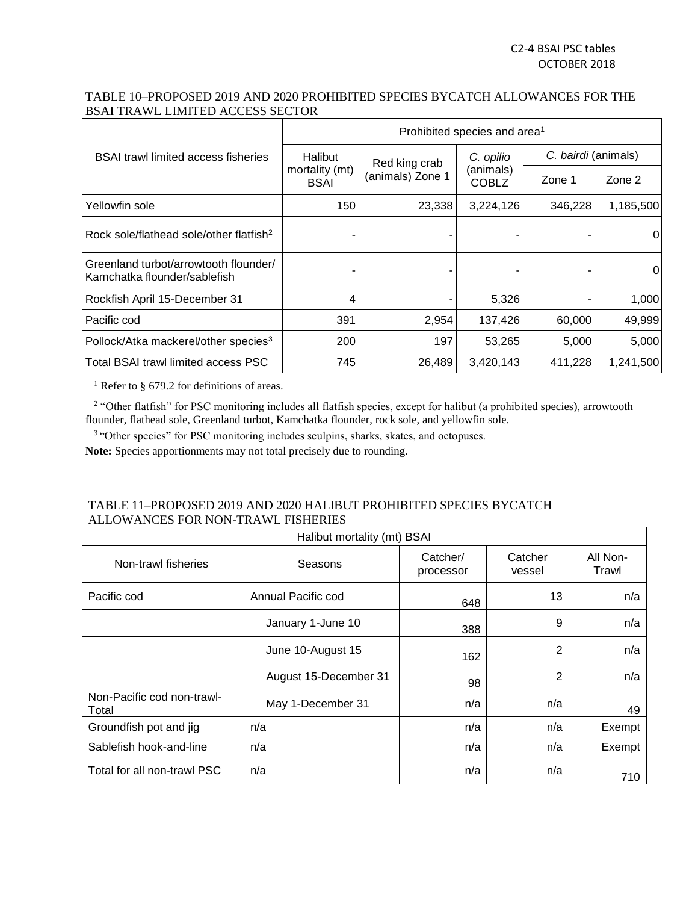## TABLE 10–PROPOSED 2019 AND 2020 PROHIBITED SPECIES BYCATCH ALLOWANCES FOR THE BSAI TRAWL LIMITED ACCESS SECTOR

|                                                                         | Prohibited species and area <sup>1</sup>                  |                  |                           |                     |                |  |  |
|-------------------------------------------------------------------------|-----------------------------------------------------------|------------------|---------------------------|---------------------|----------------|--|--|
| <b>BSAI trawl limited access fisheries</b>                              | Halibut<br>Red king crab<br>mortality (mt)<br><b>BSAI</b> |                  | C. opilio                 | C. bairdi (animals) |                |  |  |
|                                                                         |                                                           | (animals) Zone 1 | (animals)<br><b>COBLZ</b> | Zone 1              | Zone 2         |  |  |
| Yellowfin sole                                                          | 150                                                       | 23,338           | 3,224,126                 | 346,228             | 1,185,500      |  |  |
| Rock sole/flathead sole/other flatfish <sup>2</sup>                     |                                                           |                  |                           |                     | 0              |  |  |
| Greenland turbot/arrowtooth flounder/<br>l Kamchatka flounder/sablefish |                                                           |                  |                           |                     | $\overline{0}$ |  |  |
| Rockfish April 15-December 31                                           | 4                                                         |                  | 5,326                     |                     | 1,000          |  |  |
| Pacific cod                                                             | 391                                                       | 2,954            | 137,426                   | 60,000              | 49,999         |  |  |
| Pollock/Atka mackerel/other species <sup>3</sup>                        | 200                                                       | 197              | 53,265                    | 5,000               | 5,000          |  |  |
| Total BSAI trawl limited access PSC                                     | 745                                                       | 26,489           | 3,420,143                 | 411,228             | 1,241,500      |  |  |

<sup>1</sup> Refer to § 679.2 for definitions of areas.

<sup>2</sup> "Other flatfish" for PSC monitoring includes all flatfish species, except for halibut (a prohibited species), arrowtooth flounder, flathead sole, Greenland turbot, Kamchatka flounder, rock sole, and yellowfin sole.

<sup>3</sup> "Other species" for PSC monitoring includes sculpins, sharks, skates, and octopuses.

**Note:** Species apportionments may not total precisely due to rounding.

## TABLE 11–PROPOSED 2019 AND 2020 HALIBUT PROHIBITED SPECIES BYCATCH ALLOWANCES FOR NON-TRAWL FISHERIES

| Halibut mortality (mt) BSAI         |                       |                       |                   |                   |  |  |
|-------------------------------------|-----------------------|-----------------------|-------------------|-------------------|--|--|
| Non-trawl fisheries                 | Seasons               | Catcher/<br>processor | Catcher<br>vessel | All Non-<br>Trawl |  |  |
| Pacific cod                         | Annual Pacific cod    | 648                   | 13                | n/a               |  |  |
|                                     | January 1-June 10     | 388                   | 9                 | n/a               |  |  |
|                                     | June 10-August 15     | 162                   | $\overline{2}$    | n/a               |  |  |
|                                     | August 15-December 31 | 98                    | $\overline{2}$    | n/a               |  |  |
| Non-Pacific cod non-trawl-<br>Total | May 1-December 31     | n/a                   | n/a               | 49                |  |  |
| Groundfish pot and jig              | n/a                   | n/a                   | n/a               | Exempt            |  |  |
| Sablefish hook-and-line             | n/a                   | n/a                   | n/a               | Exempt            |  |  |
| Total for all non-trawl PSC         | n/a                   | n/a                   | n/a               | 710               |  |  |